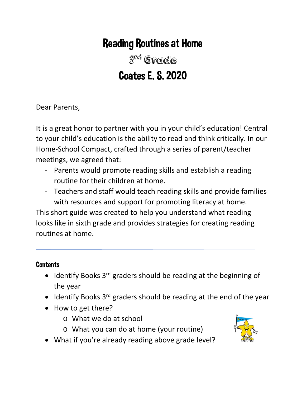# Reading Routines at Home

3rd Grade Coates E. S. 2020

Dear Parents,

It is a great honor to partner with you in your child's education! Central to your child's education is the ability to read and think critically. In our Home-School Compact, crafted through a series of parent/teacher meetings, we agreed that:

- Parents would promote reading skills and establish a reading routine for their children at home.
- Teachers and staff would teach reading skills and provide families with resources and support for promoting literacy at home.

This short guide was created to help you understand what reading looks like in sixth grade and provides strategies for creating reading routines at home.

## **Contents**

- Identify Books  $3<sup>rd</sup>$  graders should be reading at the beginning of the year
- $\bullet$  Identify Books 3<sup>rd</sup> graders should be reading at the end of the year
- How to get there?
	- o What we do at school
	- o What you can do at home (your routine)



• What if you're already reading above grade level?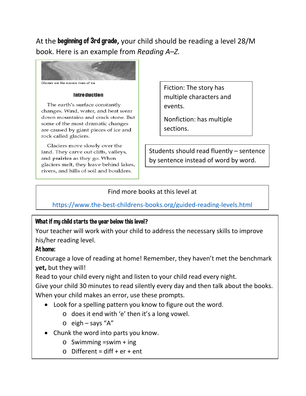At the beginning of 3rd grade**,** your child should be reading a level 28/M book. Here is an example from *Reading A–Z.*



#### **Introduction**

The earth's surface constantly changes. Wind, water, and heat wear down mountains and crack stone. But some of the most dramatic changes are caused by giant pieces of ice and rock called glaciers.

Glaciers move slowly over the land. They carve out cliffs, valleys, and prairies as they go. When glaciers melt, they leave behind lakes, rivers, and hills of soil and boulders.

Fiction: The story has multiple characters and events.

Nonfiction: has multiple sections.

Students should read fluently – sentence by sentence instead of word by word.

### Find more books at this level at

<https://www.the-best-childrens-books.org/guided-reading-levels.html>

### What if my child starts the year below this level**?**

Your teacher will work with your child to address the necessary skills to improve his/her reading level.

### At home:

Encourage a love of reading at home! Remember, they haven't met the benchmark **yet,** but they will!

Read to your child every night and listen to your child read every night.

Give your child 30 minutes to read silently every day and then talk about the books. When your child makes an error, use these prompts.

- Look for a spelling pattern you know to figure out the word.
	- o does it end with 'e' then it's a long vowel.
	- $\circ$  eigh says "A"
- Chunk the word into parts you know.
	- $\circ$  Swimming = swim + ing
	- $\circ$  Different = diff + er + ent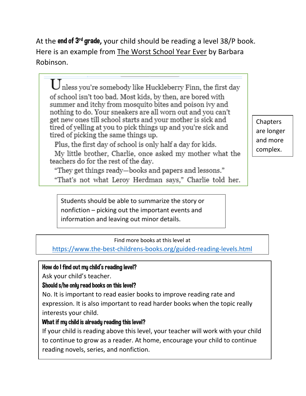At the end of 3rd grade**,** your child should be reading a level 38/P book. Here is an example from The Worst School Year Ever by Barbara Robinson.

nless you're somebody like Huckleberry Finn, the first day of school isn't too bad. Most kids, by then, are bored with summer and itchy from mosquito bites and poison ivy and nothing to do. Your sneakers are all worn out and you can't get new ones till school starts and your mother is sick and tired of yelling at you to pick things up and you're sick and tired of picking the same things up.

Plus, the first day of school is only half a day for kids. My little brother, Charlie, once asked my mother what the teachers do for the rest of the day.

"They get things ready—books and papers and lessons." "That's not what Leroy Herdman says," Charlie told her.

Students should be able to summarize the story or nonfiction – picking out the important events and information and leaving out minor details.

#### Find more books at this level at

<https://www.the-best-childrens-books.org/guided-reading-levels.html>

### How do I find out my child's reading level?

Ask your child's teacher.

#### Should s/he only read books on this level?

No. It is important to read easier books to improve reading rate and expression. It is also important to read harder books when the topic really interests your child.

### What if mu child is alreadu reading this level?

If your child is reading above this level, your teacher will work with your child to continue to grow as a reader. At home, encourage your child to continue reading novels, series, and nonfiction.

**Chapters** are longer and more complex.